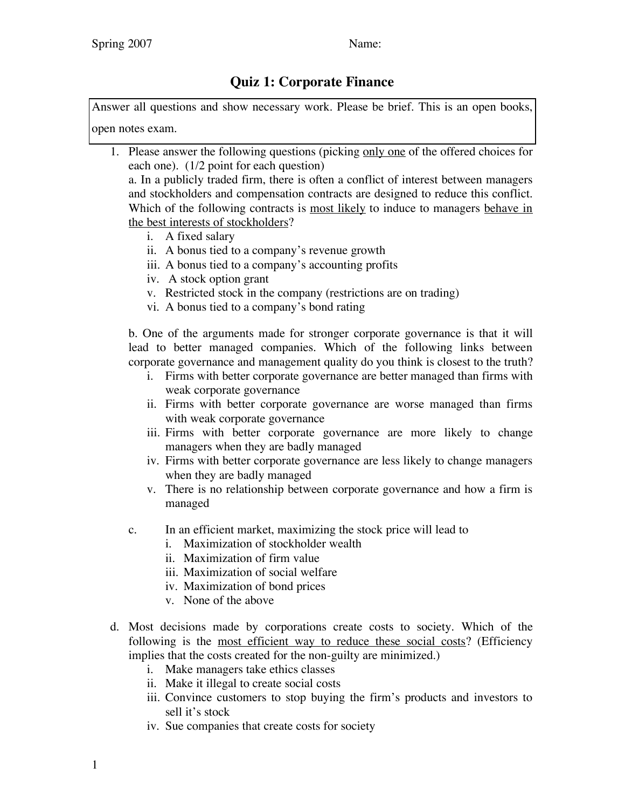## **Quiz 1: Corporate Finance**

Answer all questions and show necessary work. Please be brief. This is an open books, open notes exam.

1. Please answer the following questions (picking only one of the offered choices for each one). (1/2 point for each question) a. In a publicly traded firm, there is often a conflict of interest between managers

and stockholders and compensation contracts are designed to reduce this conflict. Which of the following contracts is most likely to induce to managers behave in the best interests of stockholders?

- i. A fixed salary
- ii. A bonus tied to a company's revenue growth
- iii. A bonus tied to a company's accounting profits
- iv. A stock option grant
- v. Restricted stock in the company (restrictions are on trading)
- vi. A bonus tied to a company's bond rating

b. One of the arguments made for stronger corporate governance is that it will lead to better managed companies. Which of the following links between corporate governance and management quality do you think is closest to the truth?

- i. Firms with better corporate governance are better managed than firms with weak corporate governance
- ii. Firms with better corporate governance are worse managed than firms with weak corporate governance
- iii. Firms with better corporate governance are more likely to change managers when they are badly managed
- iv. Firms with better corporate governance are less likely to change managers when they are badly managed
- v. There is no relationship between corporate governance and how a firm is managed
- c. In an efficient market, maximizing the stock price will lead to
	- i. Maximization of stockholder wealth
	- ii. Maximization of firm value
	- iii. Maximization of social welfare
	- iv. Maximization of bond prices
	- v. None of the above
- d. Most decisions made by corporations create costs to society. Which of the following is the most efficient way to reduce these social costs? (Efficiency implies that the costs created for the non-guilty are minimized.)
	- i. Make managers take ethics classes
	- ii. Make it illegal to create social costs
	- iii. Convince customers to stop buying the firm's products and investors to sell it's stock
	- iv. Sue companies that create costs for society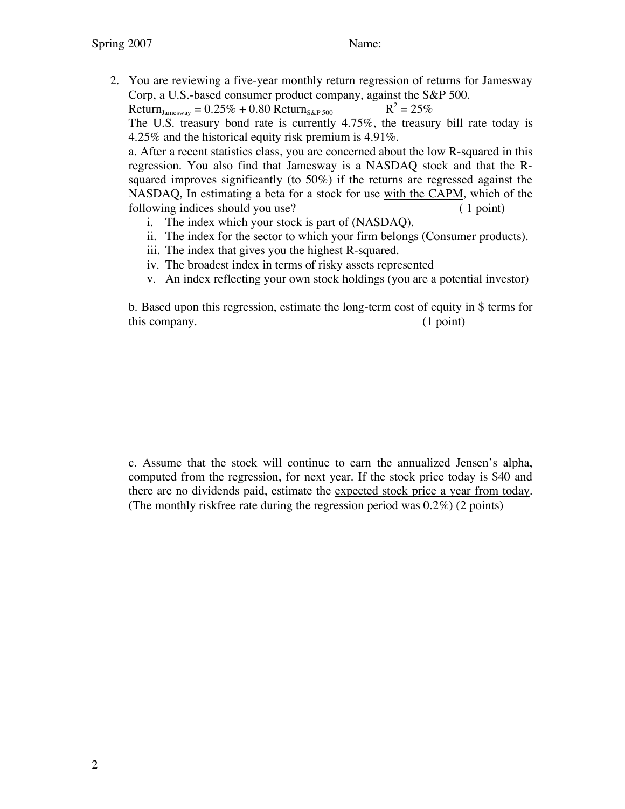2. You are reviewing a five-year monthly return regression of returns for Jamesway Corp, a U.S.-based consumer product company, against the S&P 500.

Return<sub>Jamesway</sub> =  $0.25\% + 0.80$  Return<sub>S&P 500</sub> R<sup>2</sup> =  $25\%$ 

The U.S. treasury bond rate is currently 4.75%, the treasury bill rate today is 4.25% and the historical equity risk premium is 4.91%.

a. After a recent statistics class, you are concerned about the low R-squared in this regression. You also find that Jamesway is a NASDAQ stock and that the Rsquared improves significantly (to 50%) if the returns are regressed against the NASDAQ, In estimating a beta for a stock for use with the CAPM, which of the following indices should you use? (1 point)

- i. The index which your stock is part of (NASDAQ).
- ii. The index for the sector to which your firm belongs (Consumer products).
- iii. The index that gives you the highest R-squared.
- iv. The broadest index in terms of risky assets represented
- v. An index reflecting your own stock holdings (you are a potential investor)

b. Based upon this regression, estimate the long-term cost of equity in \$ terms for this company. (1 point)

c. Assume that the stock will continue to earn the annualized Jensen's alpha, computed from the regression, for next year. If the stock price today is \$40 and there are no dividends paid, estimate the expected stock price a year from today. (The monthly riskfree rate during the regression period was 0.2%) (2 points)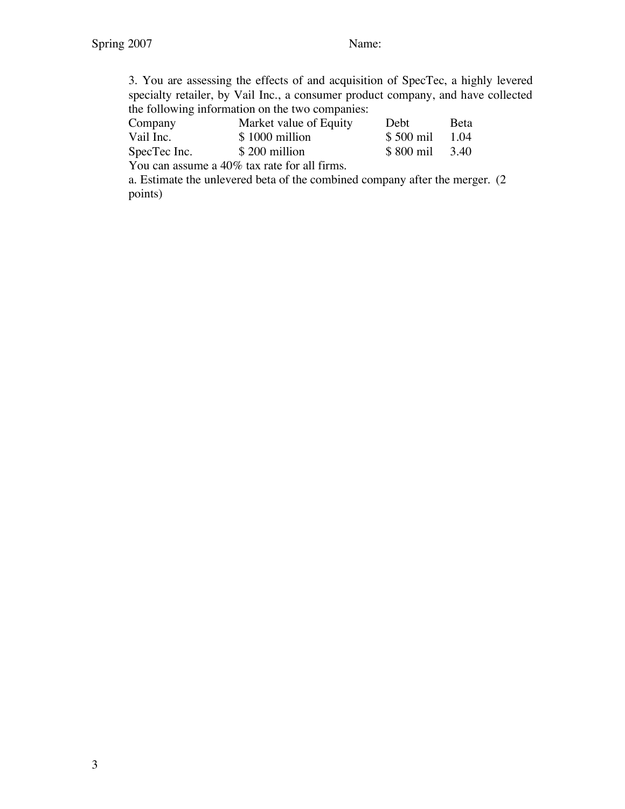3. You are assessing the effects of and acquisition of SpecTec, a highly levered specialty retailer, by Vail Inc., a consumer product company, and have collected the following information on the two companies:

| Company      | Market value of Equity                       | <b>Debt</b> | Beta |
|--------------|----------------------------------------------|-------------|------|
| Vail Inc.    | \$1000 million                               | \$500 mil   | 1.04 |
| SpecTec Inc. | \$200 million                                | \$800 mil   | 3.40 |
|              | You can assume a 40% tax rate for all firms. |             |      |

a. Estimate the unlevered beta of the combined company after the merger. (2 points)